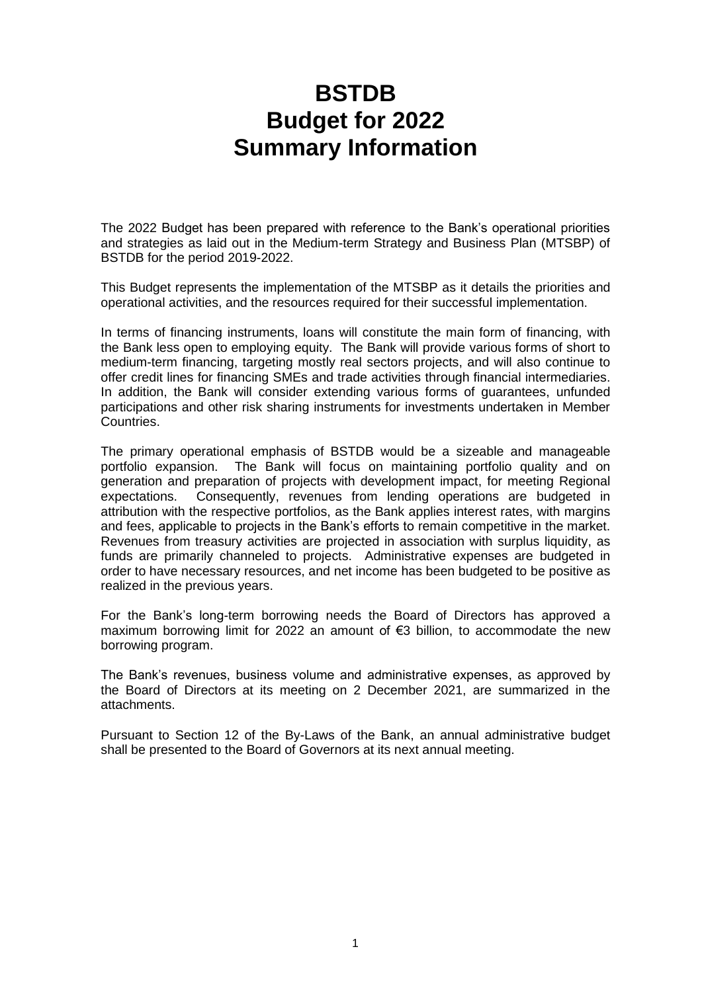## **BSTDB Budget for 2022 Summary Information**

The 2022 Budget has been prepared with reference to the Bank's operational priorities and strategies as laid out in the Medium-term Strategy and Business Plan (MTSBP) of BSTDB for the period 2019-2022.

This Budget represents the implementation of the MTSBP as it details the priorities and operational activities, and the resources required for their successful implementation.

In terms of financing instruments, loans will constitute the main form of financing, with the Bank less open to employing equity. The Bank will provide various forms of short to medium-term financing, targeting mostly real sectors projects, and will also continue to offer credit lines for financing SMEs and trade activities through financial intermediaries. In addition, the Bank will consider extending various forms of guarantees, unfunded participations and other risk sharing instruments for investments undertaken in Member Countries.

The primary operational emphasis of BSTDB would be a sizeable and manageable portfolio expansion. The Bank will focus on maintaining portfolio quality and on generation and preparation of projects with development impact, for meeting Regional expectations. Consequently, revenues from lending operations are budgeted in attribution with the respective portfolios, as the Bank applies interest rates, with margins and fees, applicable to projects in the Bank's efforts to remain competitive in the market. Revenues from treasury activities are projected in association with surplus liquidity, as funds are primarily channeled to projects. Administrative expenses are budgeted in order to have necessary resources, and net income has been budgeted to be positive as realized in the previous years.

For the Bank's long-term borrowing needs the Board of Directors has approved a maximum borrowing limit for 2022 an amount of €3 billion, to accommodate the new borrowing program.

The Bank's revenues, business volume and administrative expenses, as approved by the Board of Directors at its meeting on 2 December 2021, are summarized in the attachments.

Pursuant to Section 12 of the By-Laws of the Bank, an annual administrative budget shall be presented to the Board of Governors at its next annual meeting.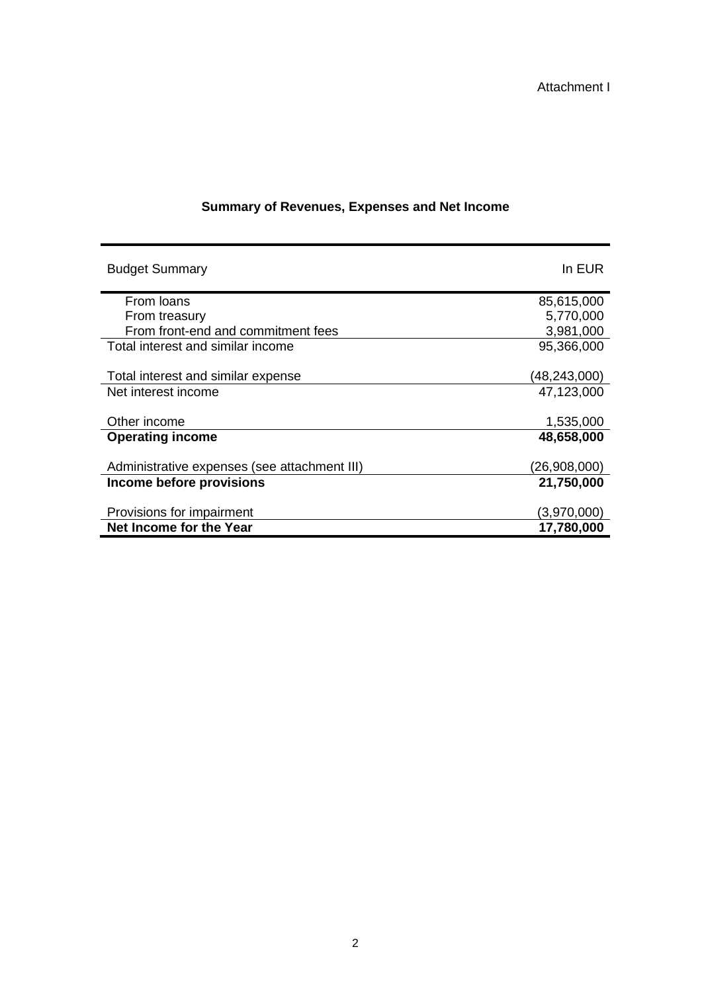| <b>Budget Summary</b>                        | In EUR       |
|----------------------------------------------|--------------|
| From Ioans                                   | 85,615,000   |
| From treasury                                | 5,770,000    |
| From front-end and commitment fees           | 3,981,000    |
| Total interest and similar income            | 95,366,000   |
|                                              |              |
| Total interest and similar expense           | (48,243,000) |
| Net interest income                          | 47,123,000   |
|                                              |              |
| Other income                                 | 1,535,000    |
| <b>Operating income</b>                      | 48,658,000   |
|                                              |              |
| Administrative expenses (see attachment III) | (26,908,000) |
| Income before provisions                     | 21,750,000   |
|                                              |              |
| Provisions for impairment                    | (3,970,000)  |
| Net Income for the Year                      | 17,780,000   |

## **Summary of Revenues, Expenses and Net Income**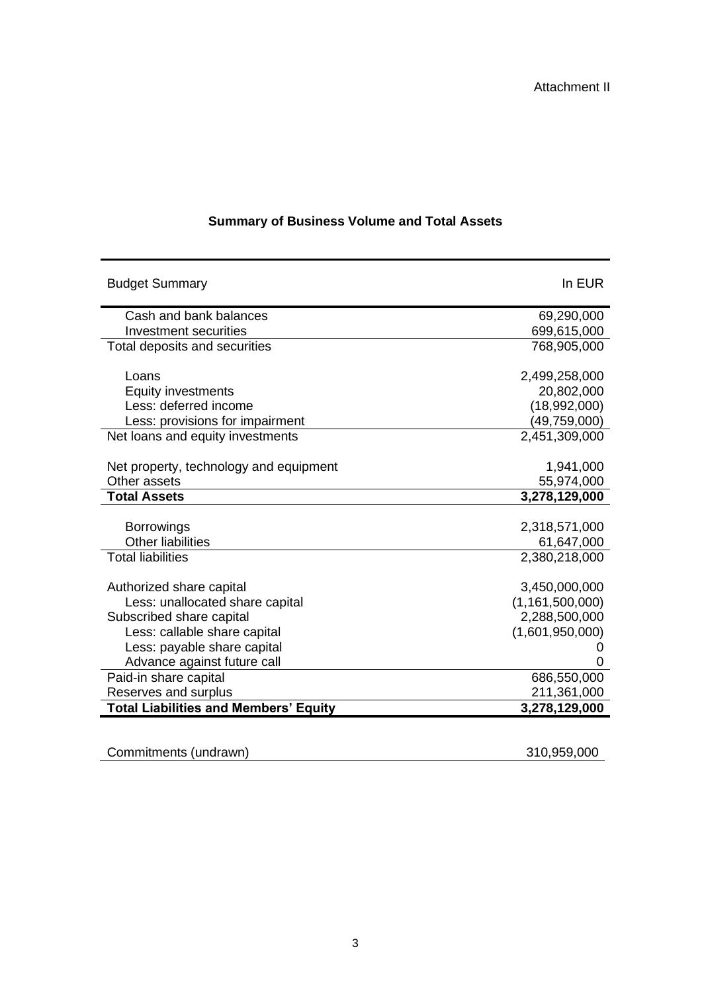| <b>Budget Summary</b>                        | In EUR             |
|----------------------------------------------|--------------------|
| Cash and bank balances                       | 69,290,000         |
| Investment securities                        | 699,615,000        |
| Total deposits and securities                | 768,905,000        |
|                                              |                    |
| Loans                                        | 2,499,258,000      |
| Equity investments                           | 20,802,000         |
| Less: deferred income                        | (18,992,000)       |
| Less: provisions for impairment              | (49, 759, 000)     |
| Net loans and equity investments             | 2,451,309,000      |
|                                              |                    |
| Net property, technology and equipment       | 1,941,000          |
| Other assets                                 | 55,974,000         |
| <b>Total Assets</b>                          | 3,278,129,000      |
|                                              |                    |
| <b>Borrowings</b>                            | 2,318,571,000      |
| <b>Other liabilities</b>                     | 61,647,000         |
| <b>Total liabilities</b>                     | 2,380,218,000      |
|                                              |                    |
| Authorized share capital                     | 3,450,000,000      |
| Less: unallocated share capital              | (1, 161, 500, 000) |
| Subscribed share capital                     | 2,288,500,000      |
| Less: callable share capital                 | (1,601,950,000)    |
| Less: payable share capital                  | 0                  |
| Advance against future call                  | 0                  |
| Paid-in share capital                        | 686,550,000        |
| Reserves and surplus                         | 211,361,000        |
| <b>Total Liabilities and Members' Equity</b> | 3,278,129,000      |
|                                              |                    |

## **Summary of Business Volume and Total Assets**

| Commitments (undrawn) | 310,959,000 |
|-----------------------|-------------|
|                       |             |